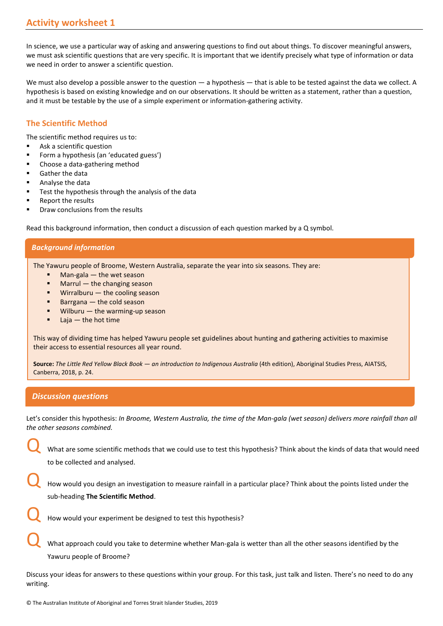In science, we use a particular way of asking and answering questions to find out about things. To discover meaningful answers, we must ask scientific questions that are very specific. It is important that we identify precisely what type of information or data we need in order to answer a scientific question.

We must also develop a possible answer to the question  $-$  a hypothesis  $-$  that is able to be tested against the data we collect. A hypothesis is based on existing knowledge and on our observations. It should be written as a statement, rather than a question, and it must be testable by the use of a simple experiment or information-gathering activity.

# **The Scientific Method**

The scientific method requires us to:

- Ask a scientific question
- Form a hypothesis (an 'educated guess')
- Choose a data-gathering method
- Gather the data
- Analyse the data
- Test the hypothesis through the analysis of the data
- Report the results
- Draw conclusions from the results

Read this background information, then conduct a discussion of each question marked by a Q symbol.

#### *Background information*

The Yawuru people of Broome, Western Australia, separate the year into six seasons. They are:

- Man-gala the wet season
- $Marrul$  the changing season
- Wirralburu the cooling season
- $B<sub>arr</sub>$  Barrgana the cold season
- **Wilburu the warming-up season**
- $\blacksquare$  Laja the hot time

This way of dividing time has helped Yawuru people set guidelines about hunting and gathering activities to maximise their access to essential resources all year round.

**Source:** *The Little Red Yellow Black Book* — *an introduction to Indigenous Australia* (4th edition), Aboriginal Studies Press, AIATSIS, Canberra, 2018, p. 24.

### *Discussion questions*

Let's consider this hypothesis: *In Broome, Western Australia, the time of the Man-gala (wet season) delivers more rainfall than all the other seasons combined.*

What are some scientific methods that we could use to test this hypothesis? Think about the kinds of data that would need to be collected and analysed.

How would you design an investigation to measure rainfall in a particular place? Think about the points listed under the sub-heading **The Scientific Method**.



What approach could you take to determine whether Man-gala is wetter than all the other seasons identified by the Yawuru people of Broome?

Discuss your ideas for answers to these questions within your group. For this task, just talk and listen. There's no need to do any writing.